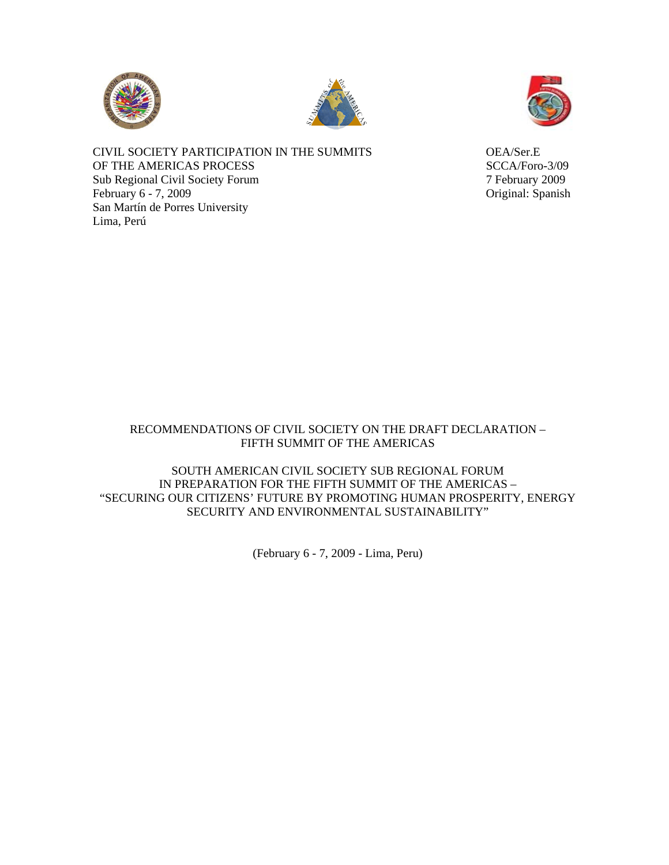





CIVIL SOCIETY PARTICIPATION IN THE SUMMITS OEA/Ser.E OF THE AMERICAS PROCESS SCCA/Foro-3/09 Sub Regional Civil Society Forum 7 February 2009 February 6 - 7, 2009 Original: Spanish San Martín de Porres University Lima, Perú

## RECOMMENDATIONS OF CIVIL SOCIETY ON THE DRAFT DECLARATION – FIFTH SUMMIT OF THE AMERICAS

SOUTH AMERICAN CIVIL SOCIETY SUB REGIONAL FORUM IN PREPARATION FOR THE FIFTH SUMMIT OF THE AMERICAS – "SECURING OUR CITIZENS' FUTURE BY PROMOTING HUMAN PROSPERITY, ENERGY SECURITY AND ENVIRONMENTAL SUSTAINABILITY"

(February 6 - 7, 2009 - Lima, Peru)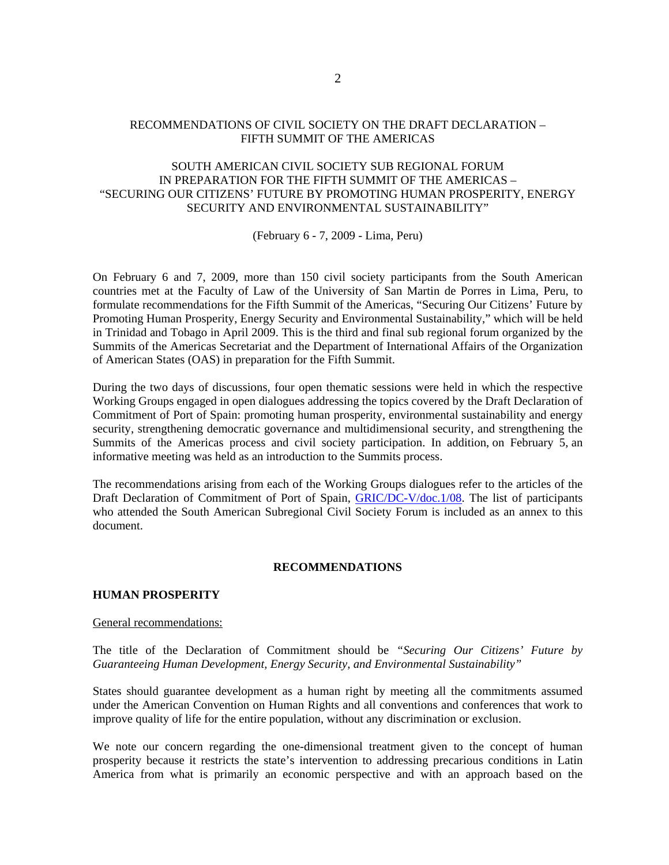# RECOMMENDATIONS OF CIVIL SOCIETY ON THE DRAFT DECLARATION – FIFTH SUMMIT OF THE AMERICAS

# SOUTH AMERICAN CIVIL SOCIETY SUB REGIONAL FORUM IN PREPARATION FOR THE FIFTH SUMMIT OF THE AMERICAS – "SECURING OUR CITIZENS' FUTURE BY PROMOTING HUMAN PROSPERITY, ENERGY SECURITY AND ENVIRONMENTAL SUSTAINABILITY"

(February 6 - 7, 2009 - Lima, Peru)

On February 6 and 7, 2009, more than 150 civil society participants from the South American countries met at the Faculty of Law of the University of San Martin de Porres in Lima, Peru, to formulate recommendations for the Fifth Summit of the Americas, "Securing Our Citizens' Future by Promoting Human Prosperity, Energy Security and Environmental Sustainability," which will be held in Trinidad and Tobago in April 2009. This is the third and final sub regional forum organized by the Summits of the Americas Secretariat and the Department of International Affairs of the Organization of American States (OAS) in preparation for the Fifth Summit.

During the two days of discussions, four open thematic sessions were held in which the respective Working Groups engaged in open dialogues addressing the topics covered by the Draft Declaration of Commitment of Port of Spain: promoting human prosperity, environmental sustainability and energy security, strengthening democratic governance and multidimensional security, and strengthening the Summits of the Americas process and civil society participation. In addition, on February 5, an informative meeting was held as an introduction to the Summits process.

The recommendations arising from each of the Working Groups dialogues refer to the articles of the Draft Declaration of Commitment of Port of Spain, [GRIC/DC-V/doc.1/08.](http://www.summit-americas.org/SIRG/SIRG_0708/V_Summit_Draft_Decl_Commitment_POS_0708_En.pdf) The list of participants who attended the South American Subregional Civil Society Forum is included as an annex to this document.

# **RECOMMENDATIONS**

# **HUMAN PROSPERITY**

#### General recommendations:

The title of the Declaration of Commitment should be *"Securing Our Citizens' Future by Guaranteeing Human Development, Energy Security, and Environmental Sustainability"* 

States should guarantee development as a human right by meeting all the commitments assumed under the American Convention on Human Rights and all conventions and conferences that work to improve quality of life for the entire population, without any discrimination or exclusion.

We note our concern regarding the one-dimensional treatment given to the concept of human prosperity because it restricts the state's intervention to addressing precarious conditions in Latin America from what is primarily an economic perspective and with an approach based on the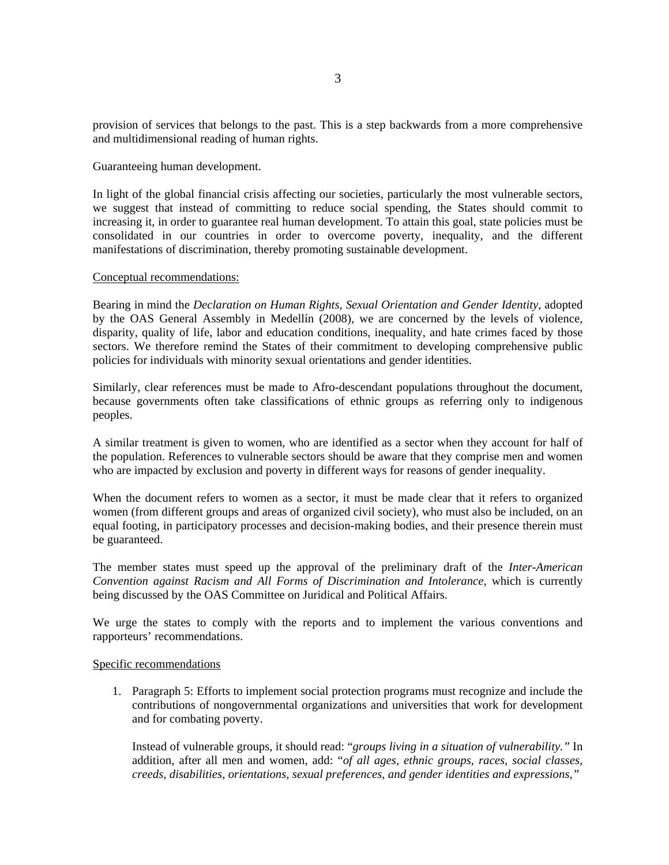provision of services that belongs to the past. This is a step backwards from a more comprehensive and multidimensional reading of human rights.

Guaranteeing human development.

In light of the global financial crisis affecting our societies, particularly the most vulnerable sectors, we suggest that instead of committing to reduce social spending, the States should commit to increasing it, in order to guarantee real human development. To attain this goal, state policies must be consolidated in our countries in order to overcome poverty, inequality, and the different manifestations of discrimination, thereby promoting sustainable development.

#### Conceptual recommendations:

Bearing in mind the *Declaration on Human Rights, Sexual Orientation and Gender Identity*, adopted by the OAS General Assembly in Medellín (2008), we are concerned by the levels of violence, disparity, quality of life, labor and education conditions, inequality, and hate crimes faced by those sectors. We therefore remind the States of their commitment to developing comprehensive public policies for individuals with minority sexual orientations and gender identities.

Similarly, clear references must be made to Afro-descendant populations throughout the document, because governments often take classifications of ethnic groups as referring only to indigenous peoples.

A similar treatment is given to women, who are identified as a sector when they account for half of the population. References to vulnerable sectors should be aware that they comprise men and women who are impacted by exclusion and poverty in different ways for reasons of gender inequality.

When the document refers to women as a sector, it must be made clear that it refers to organized women (from different groups and areas of organized civil society), who must also be included, on an equal footing, in participatory processes and decision-making bodies, and their presence therein must be guaranteed.

The member states must speed up the approval of the preliminary draft of the *Inter-American Convention against Racism and All Forms of Discrimination and Intolerance,* which is currently being discussed by the OAS Committee on Juridical and Political Affairs.

We urge the states to comply with the reports and to implement the various conventions and rapporteurs' recommendations.

#### Specific recommendations

1. Paragraph 5: Efforts to implement social protection programs must recognize and include the contributions of nongovernmental organizations and universities that work for development and for combating poverty.

Instead of vulnerable groups, it should read: "*groups living in a situation of vulnerability."* In addition, after all men and women, add: "*of all ages, ethnic groups, races, social classes, creeds, disabilities, orientations, sexual preferences, and gender identities and expressions,"*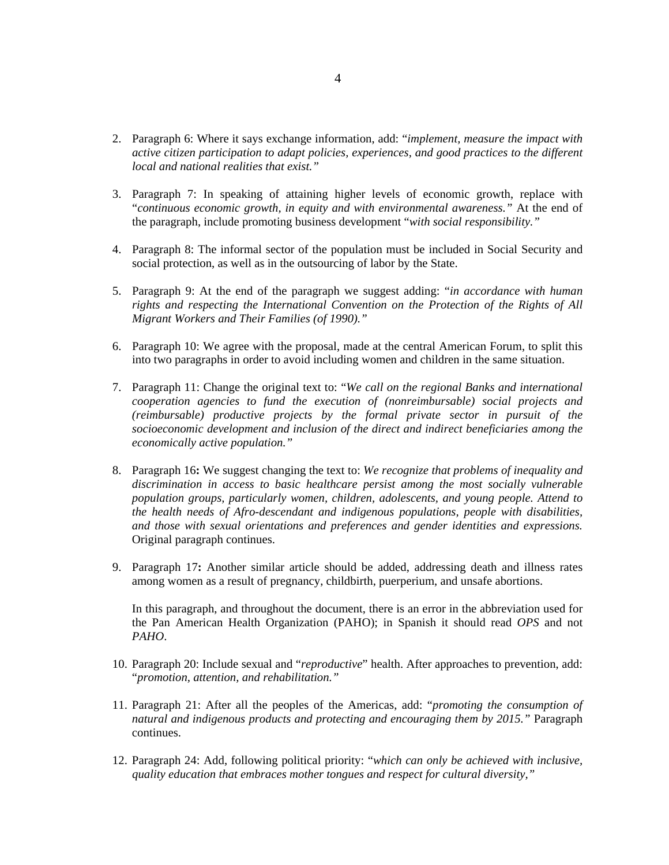- 2. Paragraph 6: Where it says exchange information, add: "*implement, measure the impact with active citizen participation to adapt policies, experiences, and good practices to the different local and national realities that exist."*
- 3. Paragraph 7: In speaking of attaining higher levels of economic growth, replace with "*continuous economic growth, in equity and with environmental awareness."* At the end of the paragraph, include promoting business development "*with social responsibility."*
- 4. Paragraph 8: The informal sector of the population must be included in Social Security and social protection, as well as in the outsourcing of labor by the State.
- 5. Paragraph 9: At the end of the paragraph we suggest adding: "*in accordance with human rights and respecting the International Convention on the Protection of the Rights of All Migrant Workers and Their Families (of 1990)."*
- 6. Paragraph 10: We agree with the proposal, made at the central American Forum, to split this into two paragraphs in order to avoid including women and children in the same situation.
- 7. Paragraph 11: Change the original text to: "*We call on the regional Banks and international cooperation agencies to fund the execution of (nonreimbursable) social projects and (reimbursable) productive projects by the formal private sector in pursuit of the socioeconomic development and inclusion of the direct and indirect beneficiaries among the economically active population."*
- 8. Paragraph 16**:** We suggest changing the text to: *We recognize that problems of inequality and discrimination in access to basic healthcare persist among the most socially vulnerable population groups, particularly women, children, adolescents, and young people. Attend to the health needs of Afro-descendant and indigenous populations, people with disabilities, and those with sexual orientations and preferences and gender identities and expressions.*  Original paragraph continues.
- 9. Paragraph 17**:** Another similar article should be added, addressing death and illness rates among women as a result of pregnancy, childbirth, puerperium, and unsafe abortions.

In this paragraph, and throughout the document, there is an error in the abbreviation used for the Pan American Health Organization (PAHO); in Spanish it should read *OPS* and not *PAHO*.

- 10. Paragraph 20: Include sexual and "*reproductive*" health. After approaches to prevention, add: "*promotion, attention, and rehabilitation."*
- 11. Paragraph 21: After all the peoples of the Americas, add: "*promoting the consumption of natural and indigenous products and protecting and encouraging them by 2015."* Paragraph continues.
- 12. Paragraph 24: Add, following political priority: "*which can only be achieved with inclusive, quality education that embraces mother tongues and respect for cultural diversity,"*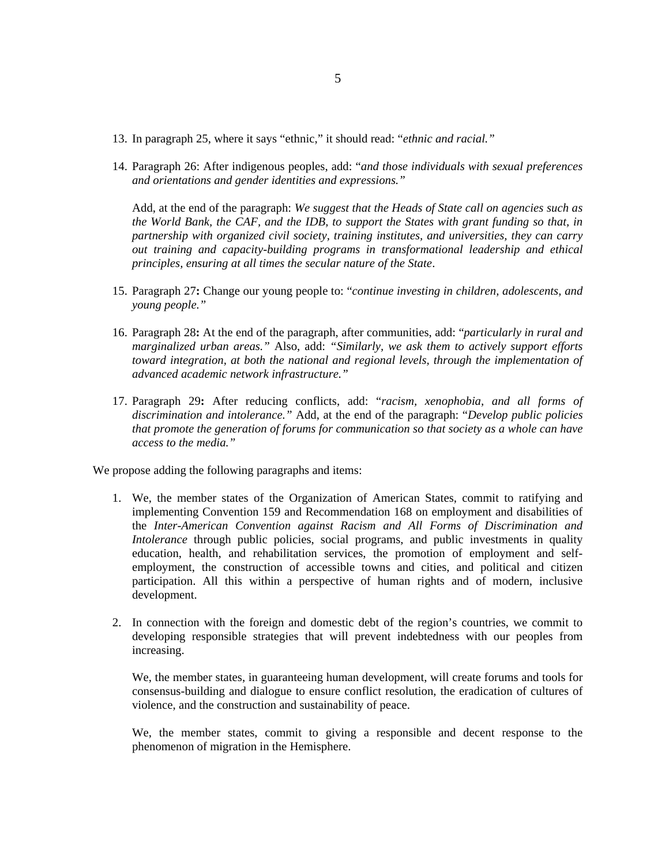- 13. In paragraph 25, where it says "ethnic," it should read: "*ethnic and racial."*
- 14. Paragraph 26: After indigenous peoples, add: "*and those individuals with sexual preferences and orientations and gender identities and expressions."*

Add, at the end of the paragraph: *We suggest that the Heads of State call on agencies such as the World Bank, the CAF, and the IDB, to support the States with grant funding so that, in partnership with organized civil society, training institutes, and universities, they can carry out training and capacity-building programs in transformational leadership and ethical principles, ensuring at all times the secular nature of the State*.

- 15. Paragraph 27**:** Change our young people to: "*continue investing in children, adolescents, and young people."*
- 16. Paragraph 28**:** At the end of the paragraph, after communities, add: "*particularly in rural and marginalized urban areas."* Also, add: *"Similarly, we ask them to actively support efforts toward integration, at both the national and regional levels, through the implementation of advanced academic network infrastructure."*
- 17. Paragraph 29**:** After reducing conflicts, add: "*racism, xenophobia, and all forms of discrimination and intolerance."* Add, at the end of the paragraph: "*Develop public policies that promote the generation of forums for communication so that society as a whole can have access to the media."*

We propose adding the following paragraphs and items:

- 1. We, the member states of the Organization of American States, commit to ratifying and implementing Convention 159 and Recommendation 168 on employment and disabilities of the *Inter-American Convention against Racism and All Forms of Discrimination and Intolerance* through public policies, social programs, and public investments in quality education, health, and rehabilitation services, the promotion of employment and selfemployment, the construction of accessible towns and cities, and political and citizen participation. All this within a perspective of human rights and of modern, inclusive development.
- 2. In connection with the foreign and domestic debt of the region's countries, we commit to developing responsible strategies that will prevent indebtedness with our peoples from increasing.

We, the member states, in guaranteeing human development, will create forums and tools for consensus-building and dialogue to ensure conflict resolution, the eradication of cultures of violence, and the construction and sustainability of peace.

We, the member states, commit to giving a responsible and decent response to the phenomenon of migration in the Hemisphere.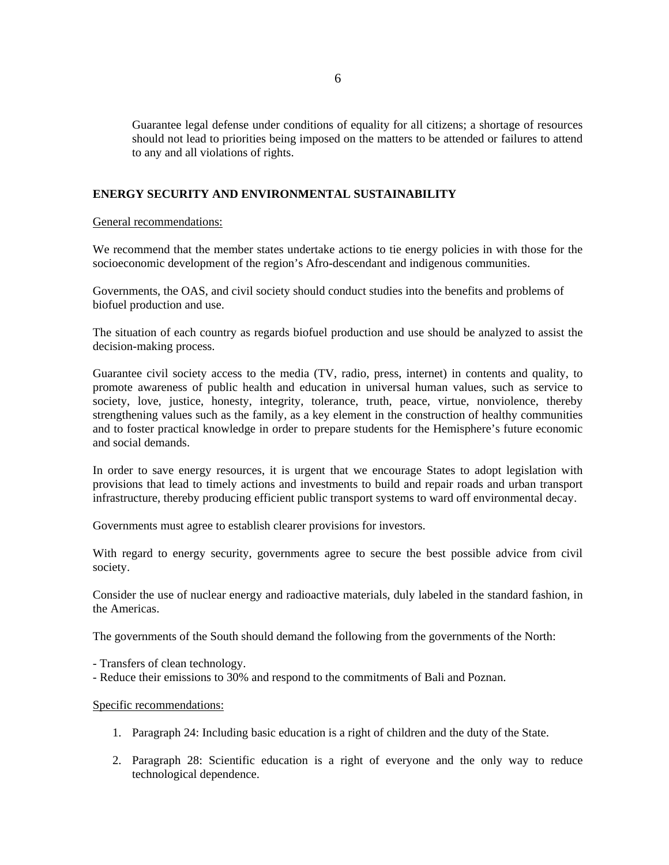Guarantee legal defense under conditions of equality for all citizens; a shortage of resources should not lead to priorities being imposed on the matters to be attended or failures to attend to any and all violations of rights.

## **ENERGY SECURITY AND ENVIRONMENTAL SUSTAINABILITY**

General recommendations:

We recommend that the member states undertake actions to tie energy policies in with those for the socioeconomic development of the region's Afro-descendant and indigenous communities.

Governments, the OAS, and civil society should conduct studies into the benefits and problems of biofuel production and use.

The situation of each country as regards biofuel production and use should be analyzed to assist the decision-making process.

Guarantee civil society access to the media (TV, radio, press, internet) in contents and quality, to promote awareness of public health and education in universal human values, such as service to society, love, justice, honesty, integrity, tolerance, truth, peace, virtue, nonviolence, thereby strengthening values such as the family, as a key element in the construction of healthy communities and to foster practical knowledge in order to prepare students for the Hemisphere's future economic and social demands.

In order to save energy resources, it is urgent that we encourage States to adopt legislation with provisions that lead to timely actions and investments to build and repair roads and urban transport infrastructure, thereby producing efficient public transport systems to ward off environmental decay.

Governments must agree to establish clearer provisions for investors.

With regard to energy security, governments agree to secure the best possible advice from civil society.

Consider the use of nuclear energy and radioactive materials, duly labeled in the standard fashion, in the Americas.

The governments of the South should demand the following from the governments of the North:

- Transfers of clean technology.

- Reduce their emissions to 30% and respond to the commitments of Bali and Poznan.

### Specific recommendations:

- 1. Paragraph 24: Including basic education is a right of children and the duty of the State.
- 2. Paragraph 28: Scientific education is a right of everyone and the only way to reduce technological dependence.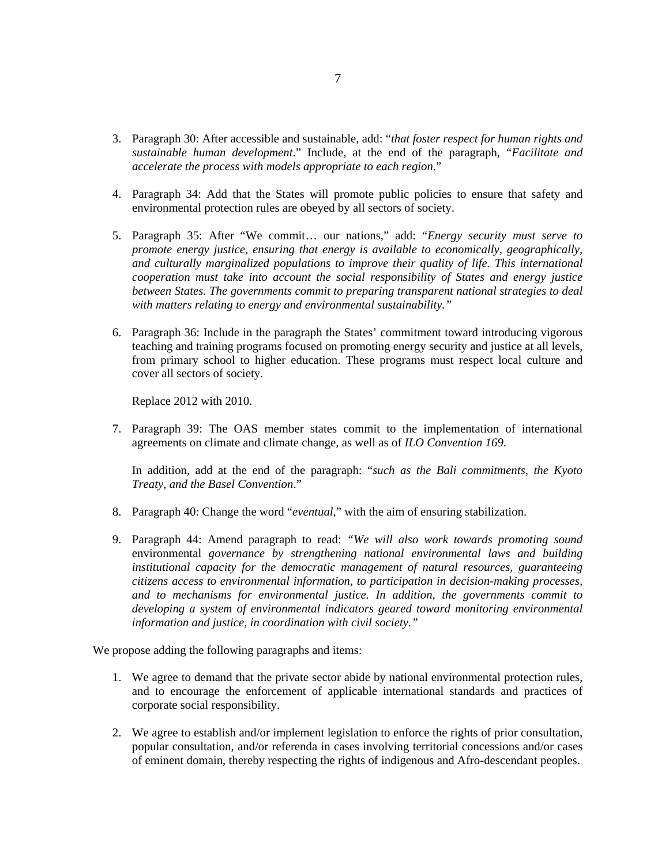- 3. Paragraph 30: After accessible and sustainable, add: "*that foster respect for human rights and sustainable human development*." Include, at the end of the paragraph, "*Facilitate and accelerate the process with models appropriate to each region*."
- 4. Paragraph 34: Add that the States will promote public policies to ensure that safety and environmental protection rules are obeyed by all sectors of society.
- 5. Paragraph 35: After "We commit… our nations," add: "*Energy security must serve to promote energy justice, ensuring that energy is available to economically, geographically, and culturally marginalized populations to improve their quality of life. This international cooperation must take into account the social responsibility of States and energy justice between States. The governments commit to preparing transparent national strategies to deal with matters relating to energy and environmental sustainability."*
- 6. Paragraph 36: Include in the paragraph the States' commitment toward introducing vigorous teaching and training programs focused on promoting energy security and justice at all levels, from primary school to higher education. These programs must respect local culture and cover all sectors of society.

Replace 2012 with 2010.

7. Paragraph 39: The OAS member states commit to the implementation of international agreements on climate and climate change, as well as of *ILO Convention 169*.

In addition, add at the end of the paragraph: "*such as the Bali commitments, the Kyoto Treaty, and the Basel Convention*."

- 8. Paragraph 40: Change the word "*eventual*," with the aim of ensuring stabilization.
- 9. Paragraph 44: Amend paragraph to read: *"We will also work towards promoting sound*  environmental *governance by strengthening national environmental laws and building institutional capacity for the democratic management of natural resources, guaranteeing citizens access to environmental information, to participation in decision-making processes, and to mechanisms for environmental justice. In addition, the governments commit to developing a system of environmental indicators geared toward monitoring environmental information and justice, in coordination with civil society."*

We propose adding the following paragraphs and items:

- 1. We agree to demand that the private sector abide by national environmental protection rules, and to encourage the enforcement of applicable international standards and practices of corporate social responsibility.
- 2. We agree to establish and/or implement legislation to enforce the rights of prior consultation, popular consultation, and/or referenda in cases involving territorial concessions and/or cases of eminent domain, thereby respecting the rights of indigenous and Afro-descendant peoples.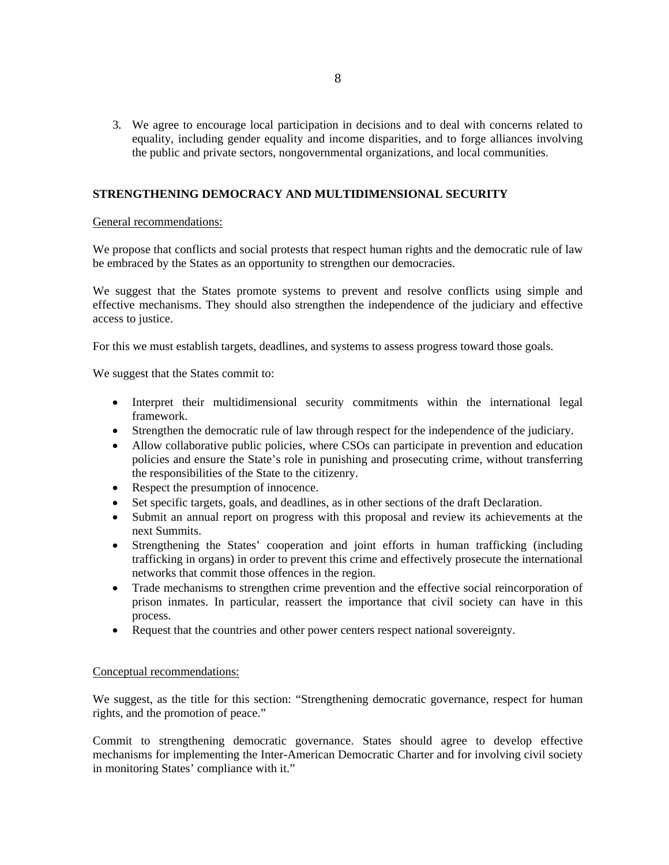3. We agree to encourage local participation in decisions and to deal with concerns related to equality, including gender equality and income disparities, and to forge alliances involving the public and private sectors, nongovernmental organizations, and local communities.

## **STRENGTHENING DEMOCRACY AND MULTIDIMENSIONAL SECURITY**

### General recommendations:

We propose that conflicts and social protests that respect human rights and the democratic rule of law be embraced by the States as an opportunity to strengthen our democracies.

We suggest that the States promote systems to prevent and resolve conflicts using simple and effective mechanisms. They should also strengthen the independence of the judiciary and effective access to justice.

For this we must establish targets, deadlines, and systems to assess progress toward those goals.

We suggest that the States commit to:

- Interpret their multidimensional security commitments within the international legal framework.
- Strengthen the democratic rule of law through respect for the independence of the judiciary.
- Allow collaborative public policies, where CSOs can participate in prevention and education policies and ensure the State's role in punishing and prosecuting crime, without transferring the responsibilities of the State to the citizenry.
- Respect the presumption of innocence.
- Set specific targets, goals, and deadlines, as in other sections of the draft Declaration.
- Submit an annual report on progress with this proposal and review its achievements at the next Summits.
- Strengthening the States' cooperation and joint efforts in human trafficking (including trafficking in organs) in order to prevent this crime and effectively prosecute the international networks that commit those offences in the region.
- Trade mechanisms to strengthen crime prevention and the effective social reincorporation of prison inmates. In particular, reassert the importance that civil society can have in this process.
- Request that the countries and other power centers respect national sovereignty.

# Conceptual recommendations:

We suggest, as the title for this section: "Strengthening democratic governance, respect for human rights, and the promotion of peace."

Commit to strengthening democratic governance. States should agree to develop effective mechanisms for implementing the Inter-American Democratic Charter and for involving civil society in monitoring States' compliance with it."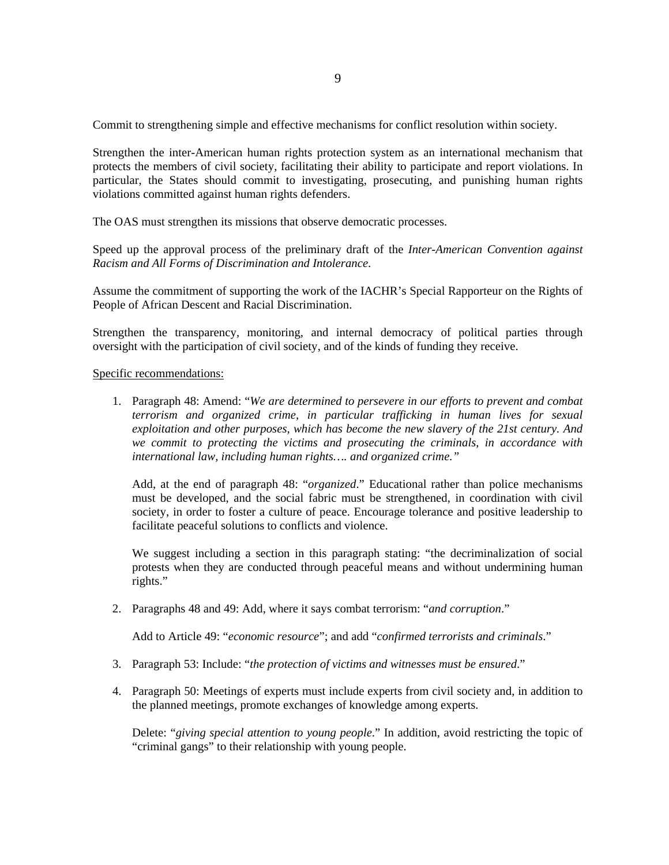Commit to strengthening simple and effective mechanisms for conflict resolution within society.

Strengthen the inter-American human rights protection system as an international mechanism that protects the members of civil society, facilitating their ability to participate and report violations. In particular, the States should commit to investigating, prosecuting, and punishing human rights violations committed against human rights defenders.

The OAS must strengthen its missions that observe democratic processes.

Speed up the approval process of the preliminary draft of the *Inter-American Convention against Racism and All Forms of Discrimination and Intolerance*.

Assume the commitment of supporting the work of the IACHR's Special Rapporteur on the Rights of People of African Descent and Racial Discrimination.

Strengthen the transparency, monitoring, and internal democracy of political parties through oversight with the participation of civil society, and of the kinds of funding they receive.

#### Specific recommendations:

1. Paragraph 48: Amend: "*We are determined to persevere in our efforts to prevent and combat terrorism and organized crime, in particular trafficking in human lives for sexual exploitation and other purposes, which has become the new slavery of the 21st century. And we commit to protecting the victims and prosecuting the criminals, in accordance with international law, including human rights…. and organized crime."*

Add, at the end of paragraph 48: "*organized*." Educational rather than police mechanisms must be developed, and the social fabric must be strengthened, in coordination with civil society, in order to foster a culture of peace. Encourage tolerance and positive leadership to facilitate peaceful solutions to conflicts and violence.

We suggest including a section in this paragraph stating: "the decriminalization of social protests when they are conducted through peaceful means and without undermining human rights."

2. Paragraphs 48 and 49: Add, where it says combat terrorism: "*and corruption*."

Add to Article 49: "*economic resource*"; and add "*confirmed terrorists and criminals*."

- 3. Paragraph 53: Include: "*the protection of victims and witnesses must be ensured*."
- 4. Paragraph 50: Meetings of experts must include experts from civil society and, in addition to the planned meetings, promote exchanges of knowledge among experts.

Delete: "*giving special attention to young people*." In addition, avoid restricting the topic of "criminal gangs" to their relationship with young people.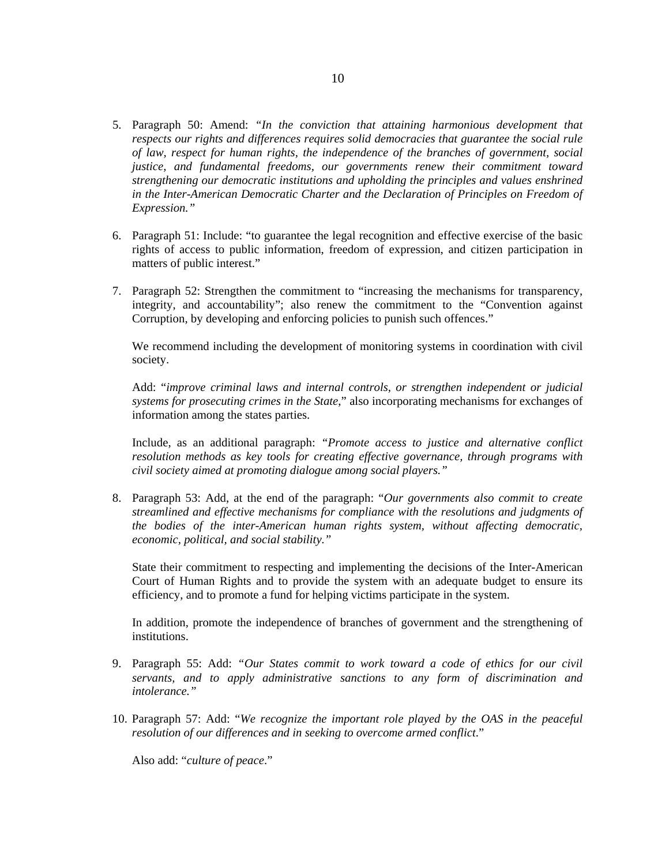- 5. Paragraph 50: Amend: *"In the conviction that attaining harmonious development that respects our rights and differences requires solid democracies that guarantee the social rule of law, respect for human rights, the independence of the branches of government, social justice, and fundamental freedoms, our governments renew their commitment toward strengthening our democratic institutions and upholding the principles and values enshrined in the Inter-American Democratic Charter and the Declaration of Principles on Freedom of Expression."*
- 6. Paragraph 51: Include: "to guarantee the legal recognition and effective exercise of the basic rights of access to public information, freedom of expression, and citizen participation in matters of public interest."
- 7. Paragraph 52: Strengthen the commitment to "increasing the mechanisms for transparency, integrity, and accountability"; also renew the commitment to the "Convention against Corruption, by developing and enforcing policies to punish such offences."

We recommend including the development of monitoring systems in coordination with civil society.

Add: "*improve criminal laws and internal controls, or strengthen independent or judicial systems for prosecuting crimes in the State*," also incorporating mechanisms for exchanges of information among the states parties.

Include, as an additional paragraph: *"Promote access to justice and alternative conflict resolution methods as key tools for creating effective governance, through programs with civil society aimed at promoting dialogue among social players."* 

8. Paragraph 53: Add, at the end of the paragraph: "*Our governments also commit to create streamlined and effective mechanisms for compliance with the resolutions and judgments of the bodies of the inter-American human rights system, without affecting democratic, economic, political, and social stability."* 

State their commitment to respecting and implementing the decisions of the Inter-American Court of Human Rights and to provide the system with an adequate budget to ensure its efficiency, and to promote a fund for helping victims participate in the system.

In addition, promote the independence of branches of government and the strengthening of institutions.

- 9. Paragraph 55: Add: *"Our States commit to work toward a code of ethics for our civil servants, and to apply administrative sanctions to any form of discrimination and intolerance."*
- 10. Paragraph 57: Add: "*We recognize the important role played by the OAS in the peaceful resolution of our differences and in seeking to overcome armed conflict*."

Also add: "*culture of peace*."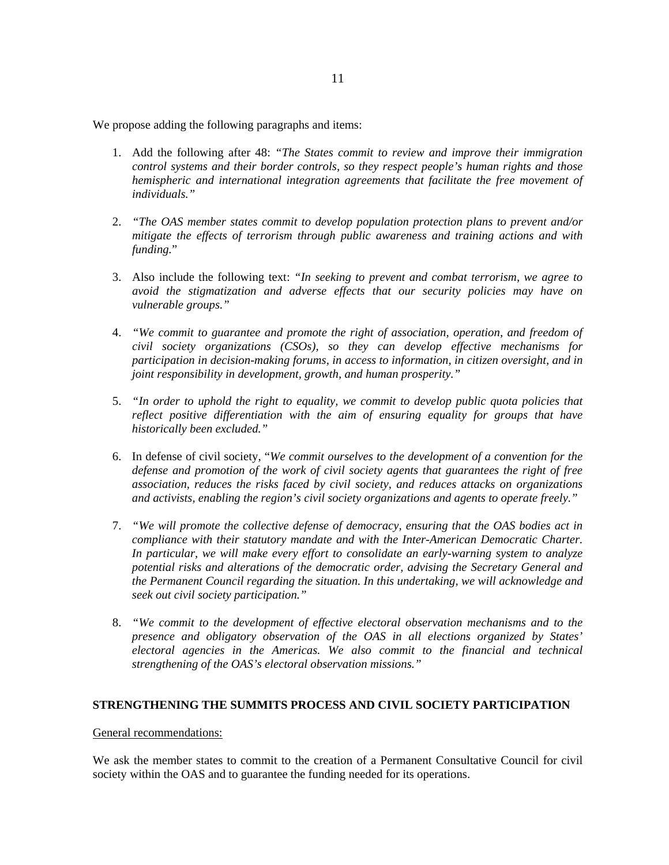We propose adding the following paragraphs and items:

- 1. Add the following after 48: *"The States commit to review and improve their immigration control systems and their border controls, so they respect people's human rights and those hemispheric and international integration agreements that facilitate the free movement of individuals."*
- 2. *"The OAS member states commit to develop population protection plans to prevent and/or mitigate the effects of terrorism through public awareness and training actions and with funding.*"
- 3. Also include the following text: *"In seeking to prevent and combat terrorism, we agree to avoid the stigmatization and adverse effects that our security policies may have on vulnerable groups."*
- 4. *"We commit to guarantee and promote the right of association, operation, and freedom of civil society organizations (CSOs), so they can develop effective mechanisms for participation in decision-making forums, in access to information, in citizen oversight, and in joint responsibility in development, growth, and human prosperity."*
- 5. *"In order to uphold the right to equality, we commit to develop public quota policies that reflect positive differentiation with the aim of ensuring equality for groups that have historically been excluded."*
- 6. In defense of civil society, "*We commit ourselves to the development of a convention for the defense and promotion of the work of civil society agents that guarantees the right of free association, reduces the risks faced by civil society, and reduces attacks on organizations and activists, enabling the region's civil society organizations and agents to operate freely."*
- 7. *"We will promote the collective defense of democracy, ensuring that the OAS bodies act in compliance with their statutory mandate and with the Inter-American Democratic Charter. In particular, we will make every effort to consolidate an early-warning system to analyze potential risks and alterations of the democratic order, advising the Secretary General and the Permanent Council regarding the situation. In this undertaking, we will acknowledge and seek out civil society participation."*
- 8. *"We commit to the development of effective electoral observation mechanisms and to the presence and obligatory observation of the OAS in all elections organized by States' electoral agencies in the Americas. We also commit to the financial and technical strengthening of the OAS's electoral observation missions."*

## **STRENGTHENING THE SUMMITS PROCESS AND CIVIL SOCIETY PARTICIPATION**

### General recommendations:

We ask the member states to commit to the creation of a Permanent Consultative Council for civil society within the OAS and to guarantee the funding needed for its operations.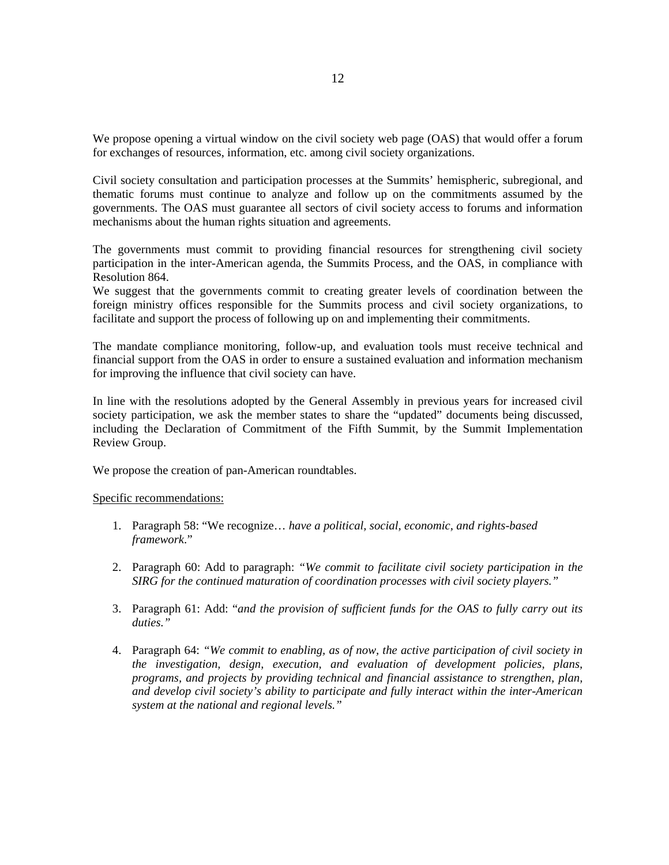We propose opening a virtual window on the civil society web page (OAS) that would offer a forum for exchanges of resources, information, etc. among civil society organizations.

Civil society consultation and participation processes at the Summits' hemispheric, subregional, and thematic forums must continue to analyze and follow up on the commitments assumed by the governments. The OAS must guarantee all sectors of civil society access to forums and information mechanisms about the human rights situation and agreements.

The governments must commit to providing financial resources for strengthening civil society participation in the inter-American agenda, the Summits Process, and the OAS, in compliance with Resolution 864.

We suggest that the governments commit to creating greater levels of coordination between the foreign ministry offices responsible for the Summits process and civil society organizations, to facilitate and support the process of following up on and implementing their commitments.

The mandate compliance monitoring, follow-up, and evaluation tools must receive technical and financial support from the OAS in order to ensure a sustained evaluation and information mechanism for improving the influence that civil society can have.

In line with the resolutions adopted by the General Assembly in previous years for increased civil society participation, we ask the member states to share the "updated" documents being discussed, including the Declaration of Commitment of the Fifth Summit, by the Summit Implementation Review Group.

We propose the creation of pan-American roundtables.

Specific recommendations:

- 1. Paragraph 58: "We recognize… *have a political, social, economic, and rights-based framework*."
- 2. Paragraph 60: Add to paragraph: *"We commit to facilitate civil society participation in the SIRG for the continued maturation of coordination processes with civil society players."*
- 3. Paragraph 61: Add: "*and the provision of sufficient funds for the OAS to fully carry out its duties."*
- 4. Paragraph 64: *"We commit to enabling, as of now, the active participation of civil society in the investigation, design, execution, and evaluation of development policies, plans, programs, and projects by providing technical and financial assistance to strengthen, plan, and develop civil society's ability to participate and fully interact within the inter-American system at the national and regional levels."*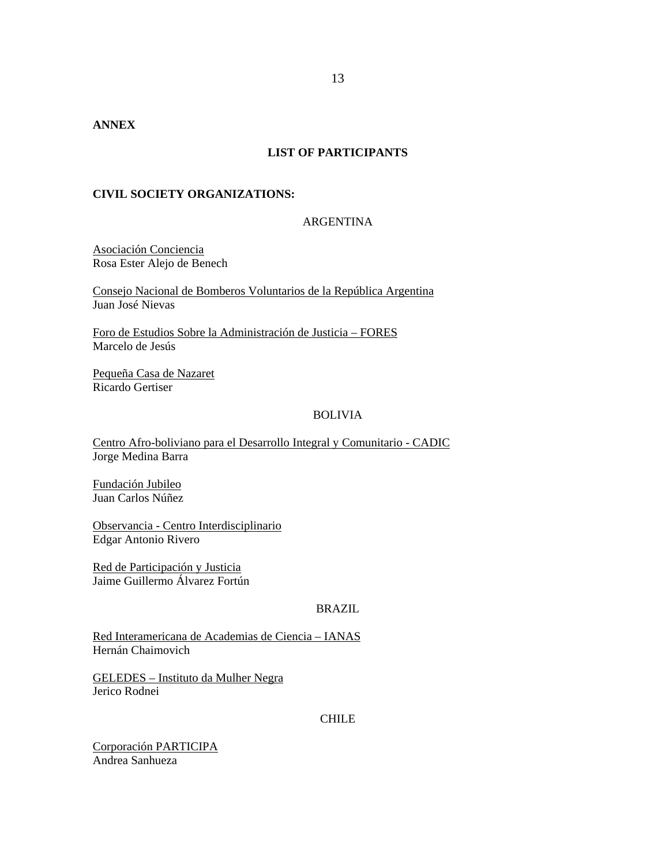# **LIST OF PARTICIPANTS**

## **CIVIL SOCIETY ORGANIZATIONS:**

## ARGENTINA

Asociación Conciencia Rosa Ester Alejo de Benech

Consejo Nacional de Bomberos Voluntarios de la República Argentina Juan José Nievas

Foro de Estudios Sobre la Administración de Justicia – FORES Marcelo de Jesús

Pequeña Casa de Nazaret Ricardo Gertiser

## BOLIVIA

Centro Afro-boliviano para el Desarrollo Integral y Comunitario - CADIC Jorge Medina Barra

Fundación Jubileo Juan Carlos Núñez

Observancia - Centro Interdisciplinario Edgar Antonio Rivero

Red de Participación y Justicia Jaime Guillermo Álvarez Fortún

#### BRAZIL

Red Interamericana de Academias de Ciencia – IANAS Hernán Chaimovich

GELEDES – Instituto da Mulher Negra Jerico Rodnei

### CHILE

Corporación PARTICIPA Andrea Sanhueza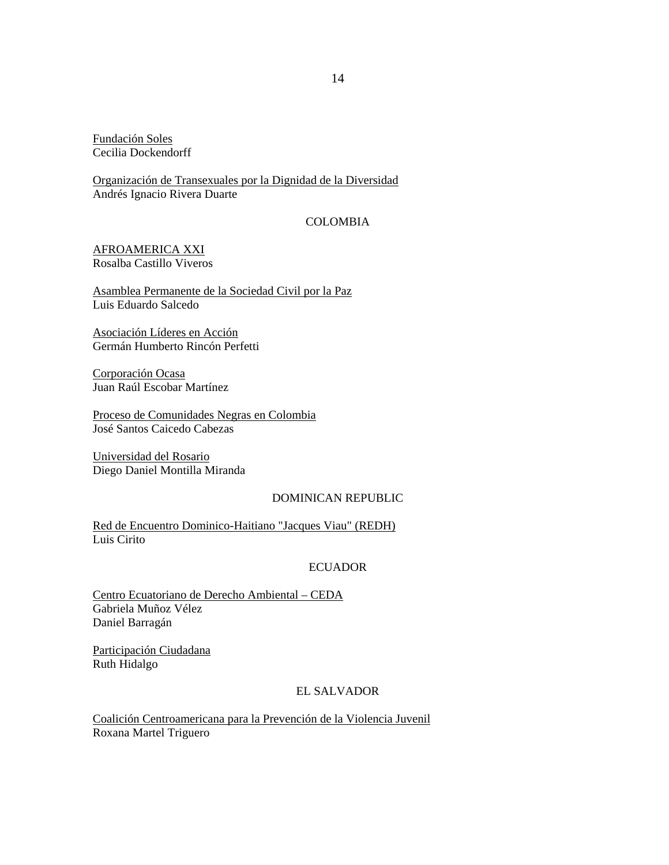Fundación Soles Cecilia Dockendorff

Organización de Transexuales por la Dignidad de la Diversidad Andrés Ignacio Rivera Duarte

# COLOMBIA

AFROAMERICA XXI Rosalba Castillo Viveros

Asamblea Permanente de la Sociedad Civil por la Paz Luis Eduardo Salcedo

Asociación Líderes en Acción Germán Humberto Rincón Perfetti

Corporación Ocasa Juan Raúl Escobar Martínez

Proceso de Comunidades Negras en Colombia José Santos Caicedo Cabezas

Universidad del Rosario Diego Daniel Montilla Miranda

## DOMINICAN REPUBLIC

Red de Encuentro Dominico-Haitiano "Jacques Viau" (REDH) Luis Cirito

# ECUADOR

Centro Ecuatoriano de Derecho Ambiental – CEDA Gabriela Muñoz Vélez Daniel Barragán

Participación Ciudadana Ruth Hidalgo

# EL SALVADOR

Coalición Centroamericana para la Prevención de la Violencia Juvenil Roxana Martel Triguero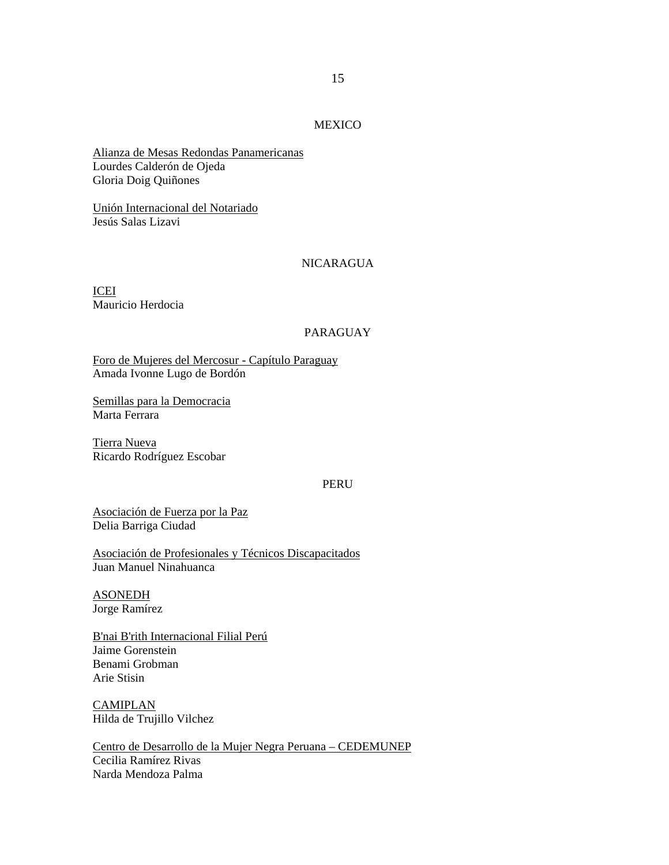## MEXICO

Alianza de Mesas Redondas Panamericanas Lourdes Calderón de Ojeda Gloria Doig Quiñones

Unión Internacional del Notariado Jesús Salas Lizavi

#### NICARAGUA

ICEI Mauricio Herdocia

## PARAGUAY

Foro de Mujeres del Mercosur - Capítulo Paraguay Amada Ivonne Lugo de Bordón

Semillas para la Democracia Marta Ferrara

Tierra Nueva Ricardo Rodríguez Escobar

#### PERU

Asociación de Fuerza por la Paz Delia Barriga Ciudad

Asociación de Profesionales y Técnicos Discapacitados Juan Manuel Ninahuanca

ASONEDH Jorge Ramírez

B'nai B'rith Internacional Filial Perú Jaime Gorenstein Benami Grobman Arie Stisin

CAMIPLAN Hilda de Trujillo Vilchez

Centro de Desarrollo de la Mujer Negra Peruana – CEDEMUNEP Cecilia Ramírez Rivas Narda Mendoza Palma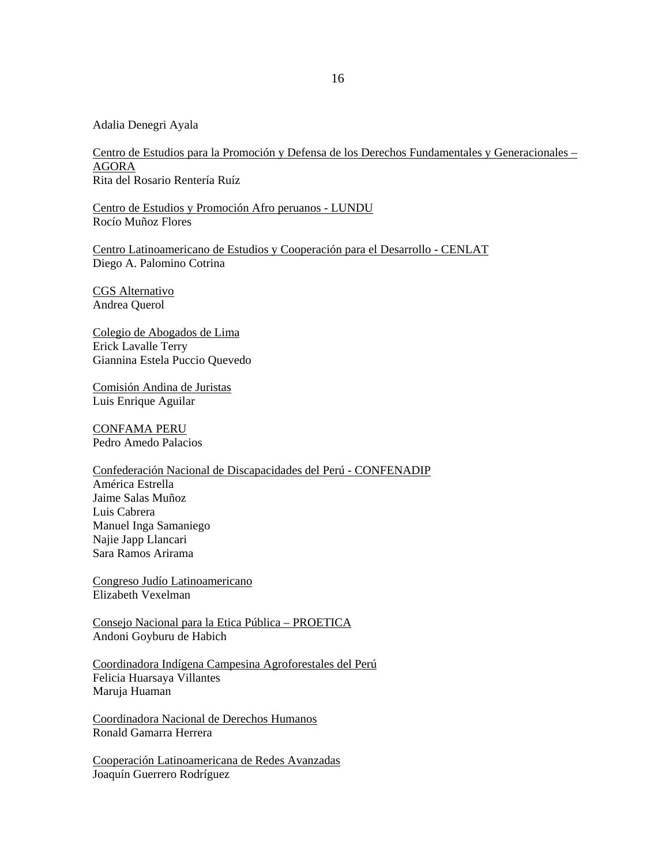Adalia Denegri Ayala

Centro de Estudios para la Promoción y Defensa de los Derechos Fundamentales y Generacionales – AGORA Rita del Rosario Rentería Ruíz

Centro de Estudios y Promoción Afro peruanos - LUNDU Rocío Muñoz Flores

Centro Latinoamericano de Estudios y Cooperación para el Desarrollo - CENLAT Diego A. Palomino Cotrina

CGS Alternativo Andrea Querol

Colegio de Abogados de Lima Erick Lavalle Terry Giannina Estela Puccio Quevedo

Comisión Andina de Juristas Luis Enrique Aguilar

CONFAMA PERU Pedro Amedo Palacios

Confederación Nacional de Discapacidades del Perú - CONFENADIP América Estrella Jaime Salas Muñoz Luis Cabrera Manuel Inga Samaniego Najie Japp Llancari Sara Ramos Arirama

Congreso Judío Latinoamericano Elizabeth Vexelman

Consejo Nacional para la Etica Pública – PROETICA Andoni Goyburu de Habich

Coordinadora Indígena Campesina Agroforestales del Perú Felicia Huarsaya Villantes Maruja Huaman

Coordinadora Nacional de Derechos Humanos Ronald Gamarra Herrera

Cooperación Latinoamericana de Redes Avanzadas Joaquín Guerrero Rodríguez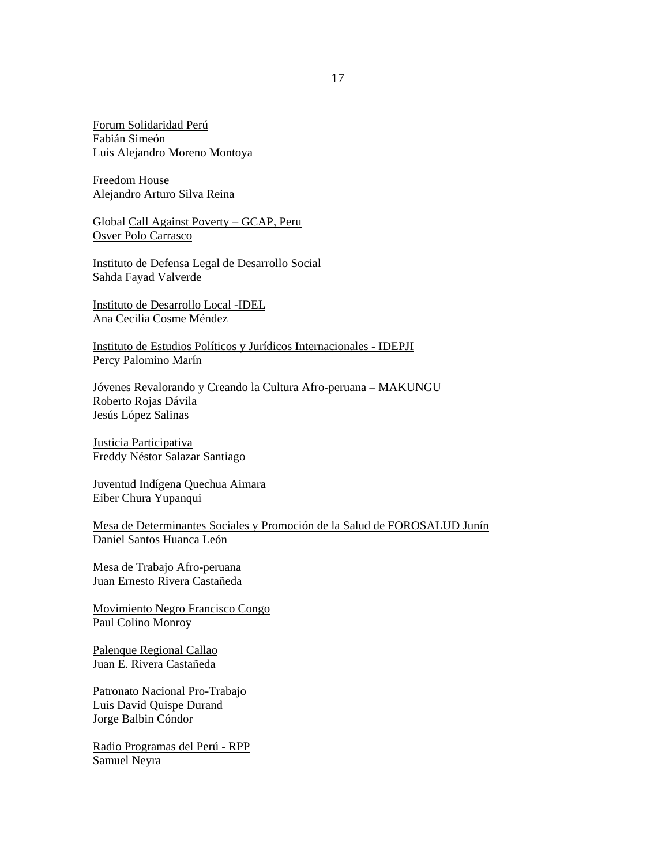Forum Solidaridad Perú Fabián Simeón Luis Alejandro Moreno Montoya

Freedom House Alejandro Arturo Silva Reina

Global Call Against Poverty – GCAP, Peru Osver Polo Carrasco

Instituto de Defensa Legal de Desarrollo Social Sahda Fayad Valverde

Instituto de Desarrollo Local -IDEL Ana Cecilia Cosme Méndez

Instituto de Estudios Políticos y Jurídicos Internacionales - IDEPJI Percy Palomino Marín

Jóvenes Revalorando y Creando la Cultura Afro-peruana – MAKUNGU Roberto Rojas Dávila Jesús López Salinas

Justicia Participativa Freddy Néstor Salazar Santiago

Juventud Indígena Quechua Aimara Eiber Chura Yupanqui

Mesa de Determinantes Sociales y Promoción de la Salud de FOROSALUD Junín Daniel Santos Huanca León

Mesa de Trabajo Afro-peruana Juan Ernesto Rivera Castañeda

Movimiento Negro Francisco Congo Paul Colino Monroy

Palenque Regional Callao Juan E. Rivera Castañeda

Patronato Nacional Pro-Trabajo Luis David Quispe Durand Jorge Balbin Cóndor

Radio Programas del Perú - RPP Samuel Neyra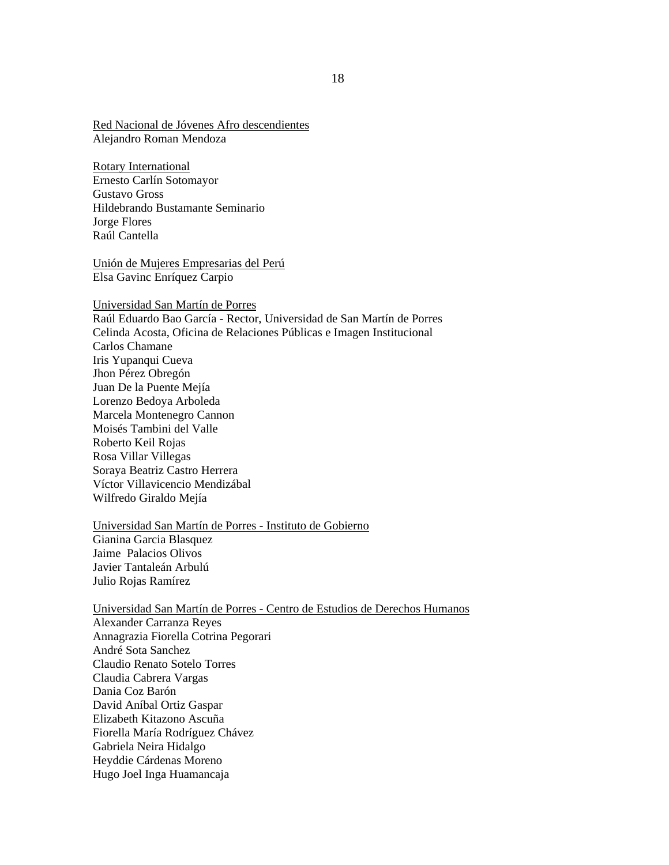Red Nacional de Jóvenes Afro descendientes Alejandro Roman Mendoza

Rotary International Ernesto Carlín Sotomayor Gustavo Gross Hildebrando Bustamante Seminario Jorge Flores Raúl Cantella

Unión de Mujeres Empresarias del Perú Elsa Gavinc Enríquez Carpio

Universidad San Martín de Porres

Raúl Eduardo Bao García - Rector, Universidad de San Martín de Porres Celinda Acosta, Oficina de Relaciones Públicas e Imagen Institucional Carlos Chamane Iris Yupanqui Cueva Jhon Pérez Obregón Juan De la Puente Mejía Lorenzo Bedoya Arboleda Marcela Montenegro Cannon Moisés Tambini del Valle Roberto Keil Rojas Rosa Villar Villegas Soraya Beatriz Castro Herrera Víctor Villavicencio Mendizábal Wilfredo Giraldo Mejía

Universidad San Martín de Porres - Instituto de Gobierno Gianina Garcia Blasquez Jaime Palacios Olivos Javier Tantaleán Arbulú Julio Rojas Ramírez

Universidad San Martín de Porres - Centro de Estudios de Derechos Humanos Alexander Carranza Reyes Annagrazia Fiorella Cotrina Pegorari André Sota Sanchez Claudio Renato Sotelo Torres Claudia Cabrera Vargas Dania Coz Barón David Aníbal Ortiz Gaspar Elizabeth Kitazono Ascuña Fiorella María Rodríguez Chávez Gabriela Neira Hidalgo Heyddie Cárdenas Moreno Hugo Joel Inga Huamancaja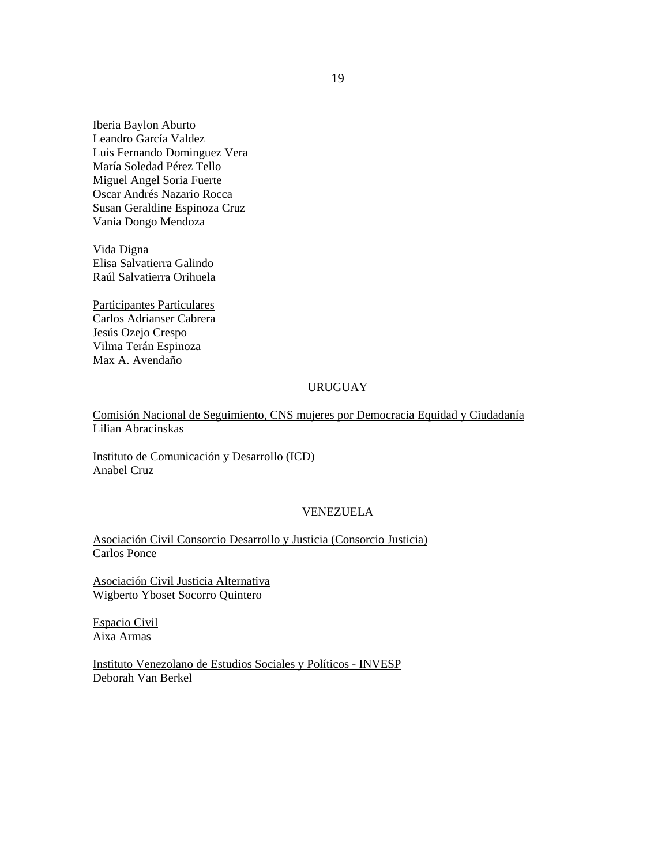Iberia Baylon Aburto Leandro García Valdez Luis Fernando Dominguez Vera María Soledad Pérez Tello Miguel Angel Soria Fuerte Oscar Andrés Nazario Rocca Susan Geraldine Espinoza Cruz Vania Dongo Mendoza

Vida Digna Elisa Salvatierra Galindo Raúl Salvatierra Orihuela

Participantes Particulares Carlos Adrianser Cabrera Jesús Ozejo Crespo Vilma Terán Espinoza Max A. Avendaño

# URUGUAY

Comisión Nacional de Seguimiento, CNS mujeres por Democracia Equidad y Ciudadanía Lilian Abracinskas

Instituto de Comunicación y Desarrollo (ICD) Anabel Cruz

## VENEZUELA

Asociación Civil Consorcio Desarrollo y Justicia (Consorcio Justicia) Carlos Ponce

Asociación Civil Justicia Alternativa Wigberto Yboset Socorro Quintero

Espacio Civil Aixa Armas

Instituto Venezolano de Estudios Sociales y Políticos - INVESP Deborah Van Berkel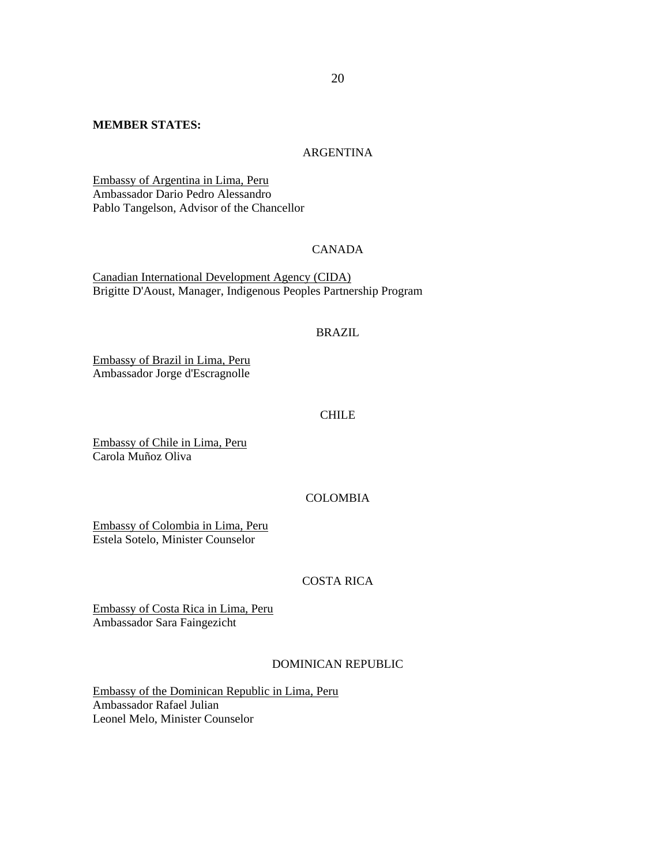### **MEMBER STATES:**

## ARGENTINA

Embassy of Argentina in Lima, Peru Ambassador Dario Pedro Alessandro Pablo Tangelson, Advisor of the Chancellor

## CANADA

Canadian International Development Agency (CIDA) Brigitte D'Aoust, Manager, Indigenous Peoples Partnership Program

# BRAZIL

Embassy of Brazil in Lima, Peru Ambassador Jorge d'Escragnolle

## CHILE

Embassy of Chile in Lima, Peru Carola Muñoz Oliva

## COLOMBIA

Embassy of Colombia in Lima, Peru Estela Sotelo, Minister Counselor

## COSTA RICA

Embassy of Costa Rica in Lima, Peru Ambassador Sara Faingezicht

### DOMINICAN REPUBLIC

Embassy of the Dominican Republic in Lima, Peru Ambassador Rafael Julian Leonel Melo, Minister Counselor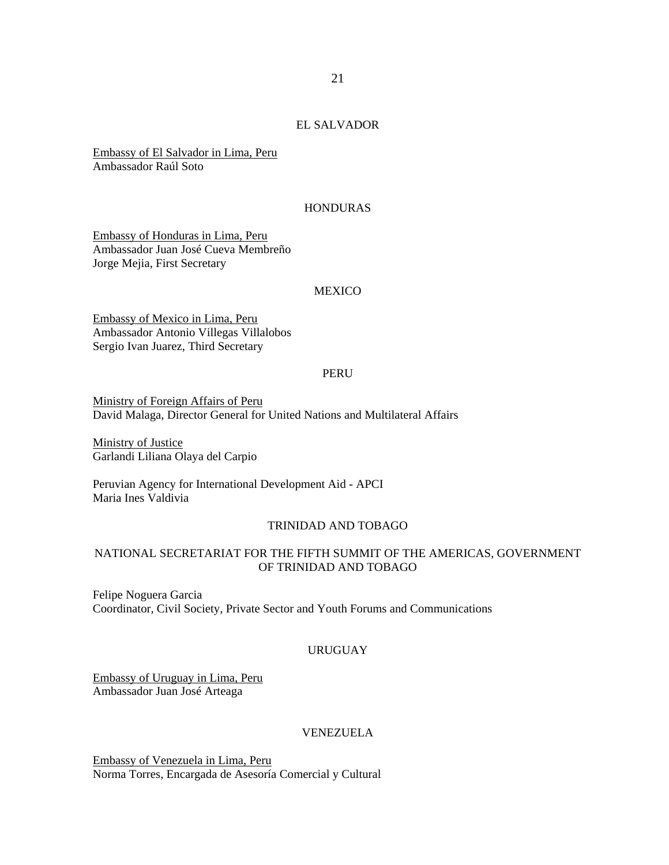# EL SALVADOR

Embassy of El Salvador in Lima, Peru Ambassador Raúl Soto

#### HONDURAS

Embassy of Honduras in Lima, Peru Ambassador Juan José Cueva Membreño Jorge Mejia, First Secretary

#### **MEXICO**

Embassy of Mexico in Lima, Peru Ambassador Antonio Villegas Villalobos Sergio Ivan Juarez, Third Secretary

### PERU

Ministry of Foreign Affairs of Peru David Malaga, Director General for United Nations and Multilateral Affairs

Ministry of Justice Garlandi Liliana Olaya del Carpio

Peruvian Agency for International Development Aid - APCI Maria Ines Valdivia

#### TRINIDAD AND TOBAGO

## NATIONAL SECRETARIAT FOR THE FIFTH SUMMIT OF THE AMERICAS, GOVERNMENT OF TRINIDAD AND TOBAGO

Felipe Noguera Garcia Coordinator, Civil Society, Private Sector and Youth Forums and Communications

## URUGUAY

Embassy of Uruguay in Lima, Peru Ambassador Juan José Arteaga

# VENEZUELA

Embassy of Venezuela in Lima, Peru Norma Torres, Encargada de Asesoría Comercial y Cultural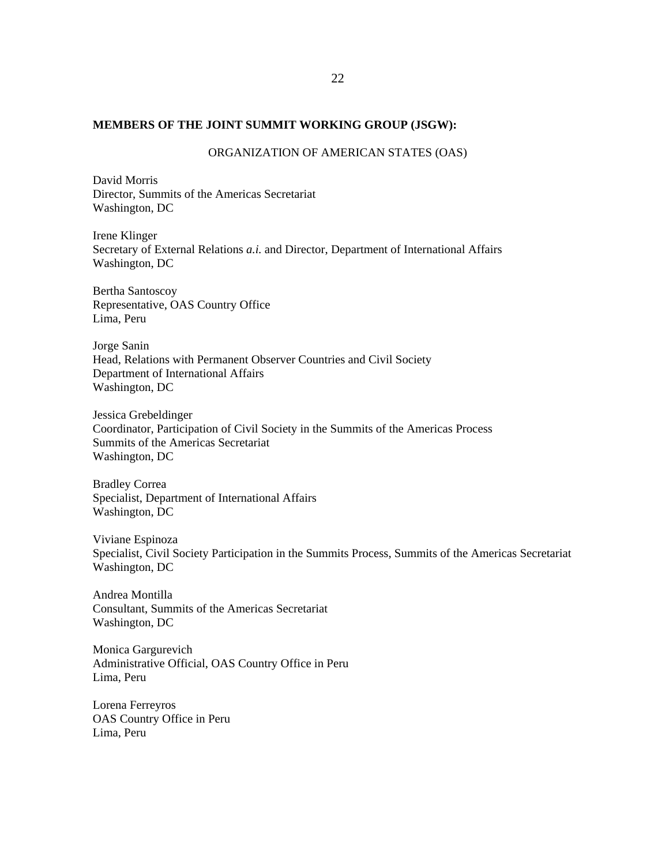## **MEMBERS OF THE JOINT SUMMIT WORKING GROUP (JSGW):**

#### ORGANIZATION OF AMERICAN STATES (OAS)

David Morris Director, Summits of the Americas Secretariat Washington, DC

Irene Klinger Secretary of External Relations *a.i.* and Director, Department of International Affairs Washington, DC

Bertha Santoscoy Representative, OAS Country Office Lima, Peru

Jorge Sanin Head, Relations with Permanent Observer Countries and Civil Society Department of International Affairs Washington, DC

Jessica Grebeldinger Coordinator, Participation of Civil Society in the Summits of the Americas Process Summits of the Americas Secretariat Washington, DC

Bradley Correa Specialist, Department of International Affairs Washington, DC

Viviane Espinoza Specialist, Civil Society Participation in the Summits Process, Summits of the Americas Secretariat Washington, DC

Andrea Montilla Consultant, Summits of the Americas Secretariat Washington, DC

Monica Gargurevich Administrative Official, OAS Country Office in Peru Lima, Peru

Lorena Ferreyros OAS Country Office in Peru Lima, Peru